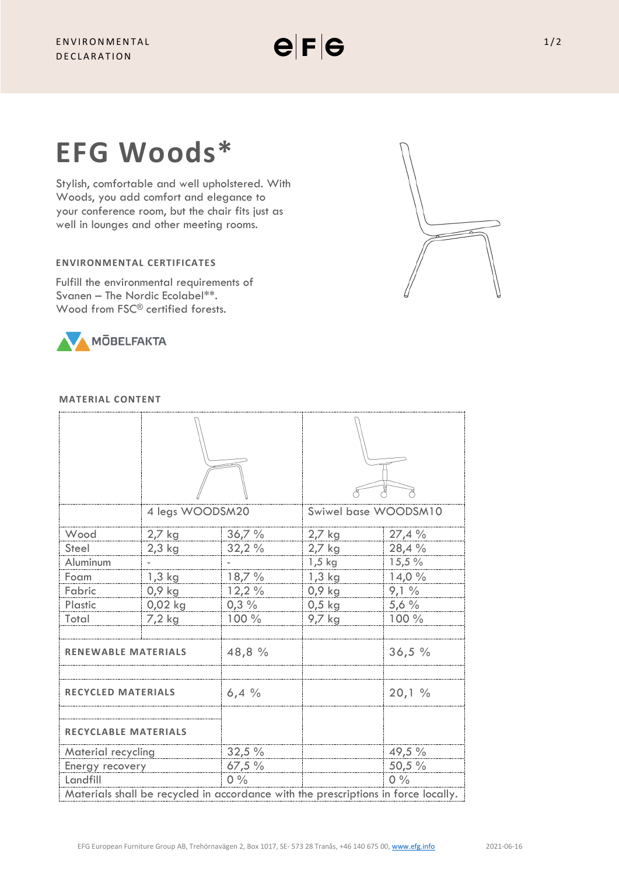# **EFG Woods\***

Stylish, comfortable and well upholstered. With Woods, you add comfort and elegance to your conference room, but the chair fits just as well in lounges and other meeting rooms.

# **ENVIRONMENTAL CERTIFICATES**

Fulfill the environmental requirements of Svanen – The Nordic Ecolabel\*\*. Wood from FSC<sup>®</sup> certified forests.



## **MATERIAL CONTENT**

|                                                                                    | 4 legs WOODSM20 |         | Swiwel base WOODSM10 |        |
|------------------------------------------------------------------------------------|-----------------|---------|----------------------|--------|
| Wood                                                                               | 2,7 kg          | 36,7%   | 2,7 kg               | 27,4%  |
| Steel                                                                              | $2,3$ kg        | 32,2%   | 2,7 kg               | 28,4 % |
| Aluminum                                                                           |                 |         | $1,5$ kg             | 15,5%  |
| Foam                                                                               | $1,3$ kg        | 18,7 %  | $1,3$ kg             | 14,0%  |
| Fabric                                                                             | $0,9$ kg        | 12,2%   | $0,9$ kg             | 9,1%   |
| Plastic                                                                            | $0,02$ kg       | $0,3\%$ | $0,5$ kg             | 5,6%   |
| Total                                                                              | 7,2 kg          | 100 %   | 9,7 kg               | 100 %  |
| <b>RENEWABLE MATERIALS</b>                                                         |                 | 48,8 %  |                      | 36,5%  |
| <b>RECYCLED MATERIALS</b>                                                          |                 | 6,4%    |                      | 20,1%  |
| <b>RECYCLABLE MATERIALS</b>                                                        |                 |         |                      |        |
| Material recycling                                                                 |                 | 32,5 %  |                      | 49,5 % |
| Energy recovery                                                                    |                 | 67,5%   |                      | 50,5 % |
| Landfill                                                                           |                 | $0\%$   |                      | $0\%$  |
| Materials shall be recycled in accordance with the prescriptions in force locally. |                 |         |                      |        |